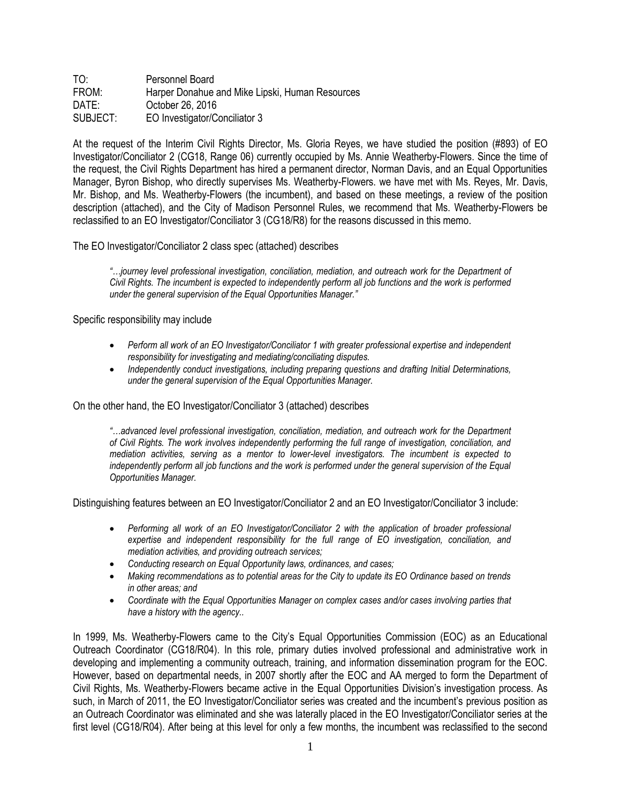| TO:      | Personnel Board                                 |
|----------|-------------------------------------------------|
| FROM:    | Harper Donahue and Mike Lipski, Human Resources |
| DATE:    | October 26, 2016                                |
| SUBJECT: | EO Investigator/Conciliator 3                   |

At the request of the Interim Civil Rights Director, Ms. Gloria Reyes, we have studied the position (#893) of EO Investigator/Conciliator 2 (CG18, Range 06) currently occupied by Ms. Annie Weatherby-Flowers. Since the time of the request, the Civil Rights Department has hired a permanent director, Norman Davis, and an Equal Opportunities Manager, Byron Bishop, who directly supervises Ms. Weatherby-Flowers. we have met with Ms. Reyes, Mr. Davis, Mr. Bishop, and Ms. Weatherby-Flowers (the incumbent), and based on these meetings, a review of the position description (attached), and the City of Madison Personnel Rules, we recommend that Ms. Weatherby-Flowers be reclassified to an EO Investigator/Conciliator 3 (CG18/R8) for the reasons discussed in this memo.

The EO Investigator/Conciliator 2 class spec (attached) describes

*"…journey level professional investigation, conciliation, mediation, and outreach work for the Department of Civil Rights. The incumbent is expected to independently perform all job functions and the work is performed under the general supervision of the Equal Opportunities Manager."*

## Specific responsibility may include

- *Perform all work of an EO Investigator/Conciliator 1 with greater professional expertise and independent responsibility for investigating and mediating/conciliating disputes.*
- *Independently conduct investigations, including preparing questions and drafting Initial Determinations, under the general supervision of the Equal Opportunities Manager.*

On the other hand, the EO Investigator/Conciliator 3 (attached) describes

*"…advanced level professional investigation, conciliation, mediation, and outreach work for the Department of Civil Rights. The work involves independently performing the full range of investigation, conciliation, and mediation activities, serving as a mentor to lower-level investigators. The incumbent is expected to*  independently perform all job functions and the work is performed under the general supervision of the Equal *Opportunities Manager.*

Distinguishing features between an EO Investigator/Conciliator 2 and an EO Investigator/Conciliator 3 include:

- Performing all work of an EO Investigator/Conciliator 2 with the application of broader professional *expertise and independent responsibility for the full range of EO investigation, conciliation, and mediation activities, and providing outreach services;*
- *Conducting research on Equal Opportunity laws, ordinances, and cases;*
- *Making recommendations as to potential areas for the City to update its EO Ordinance based on trends in other areas; and*
- *Coordinate with the Equal Opportunities Manager on complex cases and/or cases involving parties that have a history with the agency..*

In 1999, Ms. Weatherby-Flowers came to the City's Equal Opportunities Commission (EOC) as an Educational Outreach Coordinator (CG18/R04). In this role, primary duties involved professional and administrative work in developing and implementing a community outreach, training, and information dissemination program for the EOC. However, based on departmental needs, in 2007 shortly after the EOC and AA merged to form the Department of Civil Rights, Ms. Weatherby-Flowers became active in the Equal Opportunities Division's investigation process. As such, in March of 2011, the EO Investigator/Conciliator series was created and the incumbent's previous position as an Outreach Coordinator was eliminated and she was laterally placed in the EO Investigator/Conciliator series at the first level (CG18/R04). After being at this level for only a few months, the incumbent was reclassified to the second